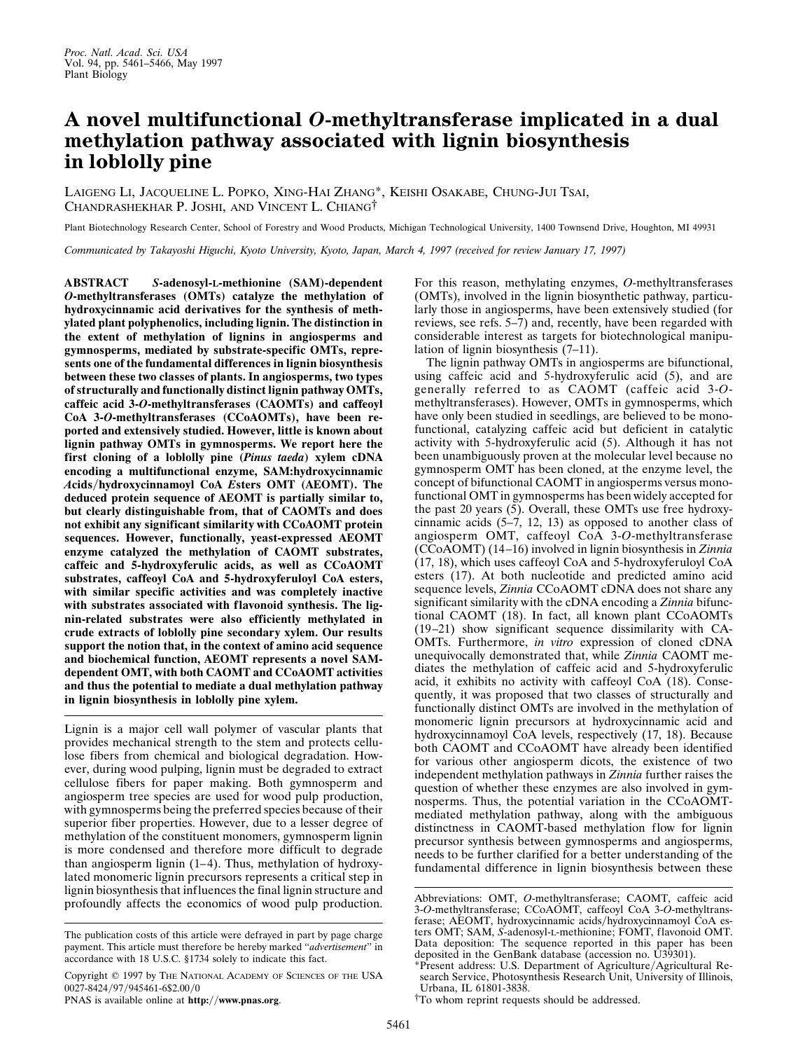## **A novel multifunctional** *O***-methyltransferase implicated in a dual methylation pathway associated with lignin biosynthesis in loblolly pine**

LAIGENG LI, JACQUELINE L. POPKO, XING-HAI ZHANG\*, KEISHI OSAKABE, CHUNG-JUI TSAI, CHANDRASHEKHAR P. JOSHI, AND VINCENT L. CHIANG†

Plant Biotechnology Research Center, School of Forestry and Wood Products, Michigan Technological University, 1400 Townsend Drive, Houghton, MI 49931

*Communicated by Takayoshi Higuchi, Kyoto University, Kyoto, Japan, March 4, 1997 (received for review January 17, 1997)*

**ABSTRACT** *S***-adenosyl-L-methionine (SAM)-dependent** *O***-methyltransferases (OMTs) catalyze the methylation of hydroxycinnamic acid derivatives for the synthesis of methylated plant polyphenolics, including lignin. The distinction in the extent of methylation of lignins in angiosperms and gymnosperms, mediated by substrate-specific OMTs, represents one of the fundamental differences in lignin biosynthesis between these two classes of plants. In angiosperms, two types of structurally and functionally distinct lignin pathway OMTs, caffeic acid 3-***O***-methyltransferases (CAOMTs) and caffeoyl CoA 3-***O***-methyltransferases (CCoAOMTs), have been reported and extensively studied. However, little is known about lignin pathway OMTs in gymnosperms. We report here the first cloning of a loblolly pine (***Pinus taeda***) xylem cDNA encoding a multifunctional enzyme, SAM:hydroxycinnamic** *A***cids**y**hydroxycinnamoyl CoA** *E***sters OMT (AEOMT). The deduced protein sequence of AEOMT is partially similar to, but clearly distinguishable from, that of CAOMTs and does not exhibit any significant similarity with CCoAOMT protein sequences. However, functionally, yeast-expressed AEOMT enzyme catalyzed the methylation of CAOMT substrates, caffeic and 5-hydroxyferulic acids, as well as CCoAOMT substrates, caffeoyl CoA and 5-hydroxyferuloyl CoA esters, with similar specific activities and was completely inactive with substrates associated with flavonoid synthesis. The lignin-related substrates were also efficiently methylated in crude extracts of loblolly pine secondary xylem. Our results support the notion that, in the context of amino acid sequence and biochemical function, AEOMT represents a novel SAMdependent OMT, with both CAOMT and CCoAOMT activities and thus the potential to mediate a dual methylation pathway in lignin biosynthesis in loblolly pine xylem.**

Lignin is a major cell wall polymer of vascular plants that provides mechanical strength to the stem and protects cellulose fibers from chemical and biological degradation. However, during wood pulping, lignin must be degraded to extract cellulose fibers for paper making. Both gymnosperm and angiosperm tree species are used for wood pulp production, with gymnosperms being the preferred species because of their superior fiber properties. However, due to a lesser degree of methylation of the constituent monomers, gymnosperm lignin is more condensed and therefore more difficult to degrade than angiosperm lignin (1–4). Thus, methylation of hydroxylated monomeric lignin precursors represents a critical step in lignin biosynthesis that influences the final lignin structure and profoundly affects the economics of wood pulp production.

PNAS is available online at **http://www.pnas.org**.

For this reason, methylating enzymes, *O*-methyltransferases (OMTs), involved in the lignin biosynthetic pathway, particularly those in angiosperms, have been extensively studied (for reviews, see refs. 5–7) and, recently, have been regarded with considerable interest as targets for biotechnological manipulation of lignin biosynthesis (7–11).

The lignin pathway OMTs in angiosperms are bifunctional, using caffeic acid and 5-hydroxyferulic acid (5), and are generally referred to as CAOMT (caffeic acid 3-*O*methyltransferases). However, OMTs in gymnosperms, which have only been studied in seedlings, are believed to be monofunctional, catalyzing caffeic acid but deficient in catalytic activity with 5-hydroxyferulic acid (5). Although it has not been unambiguously proven at the molecular level because no gymnosperm OMT has been cloned, at the enzyme level, the concept of bifunctional CAOMT in angiosperms versus monofunctional OMT in gymnosperms has been widely accepted for the past 20 years (5). Overall, these OMTs use free hydroxycinnamic acids (5–7, 12, 13) as opposed to another class of angiosperm OMT, caffeoyl CoA 3-*O*-methyltransferase (CCoAOMT) (14–16) involved in lignin biosynthesis in *Zinnia* (17, 18), which uses caffeoyl CoA and 5-hydroxyferuloyl CoA esters (17). At both nucleotide and predicted amino acid sequence levels, *Zinnia* CCoAOMT cDNA does not share any significant similarity with the cDNA encoding a *Zinnia* bifunctional CAOMT (18). In fact, all known plant CCoAOMTs (19–21) show significant sequence dissimilarity with CA-OMTs. Furthermore, *in vitro* expression of cloned cDNA unequivocally demonstrated that, while *Zinnia* CAOMT mediates the methylation of caffeic acid and 5-hydroxyferulic acid, it exhibits no activity with caffeoyl CoA (18). Consequently, it was proposed that two classes of structurally and functionally distinct OMTs are involved in the methylation of monomeric lignin precursors at hydroxycinnamic acid and hydroxycinnamoyl CoA levels, respectively (17, 18). Because both CAOMT and CCoAOMT have already been identified for various other angiosperm dicots, the existence of two independent methylation pathways in *Zinnia* further raises the question of whether these enzymes are also involved in gymnosperms. Thus, the potential variation in the CCoAOMTmediated methylation pathway, along with the ambiguous distinctness in CAOMT-based methylation flow for lignin precursor synthesis between gymnosperms and angiosperms, needs to be further clarified for a better understanding of the fundamental difference in lignin biosynthesis between these

The publication costs of this article were defrayed in part by page charge payment. This article must therefore be hereby marked ''*advertisement*'' in accordance with 18 U.S.C. §1734 solely to indicate this fact.

Copyright  $@$  1997 by The NATIONAL ACADEMY OF SCIENCES OF THE USA 0027-8424/97/945461-6\$2.00/0

Abbreviations: OMT, *O*-methyltransferase; CAOMT, caffeic acid 3-*O*-methyltransferase; CCoAOMT, caffeoyl CoA 3-*O*-methyltransferase; AEOMT, hydroxycinnamic acids/hydroxycinnamoyl CoA esters OMT; SAM, *S*-adenosyl-L-methionine; FOMT, flavonoid OMT. Data deposition: The sequence reported in this paper has been deposited in the GenBank database (accession no. U39301).

<sup>\*</sup>Present address: U.S. Department of Agriculture/Agricultural Research Service, Photosynthesis Research Unit, University of Illinois, Urbana, IL 61801-3838.

<sup>†</sup>To whom reprint requests should be addressed.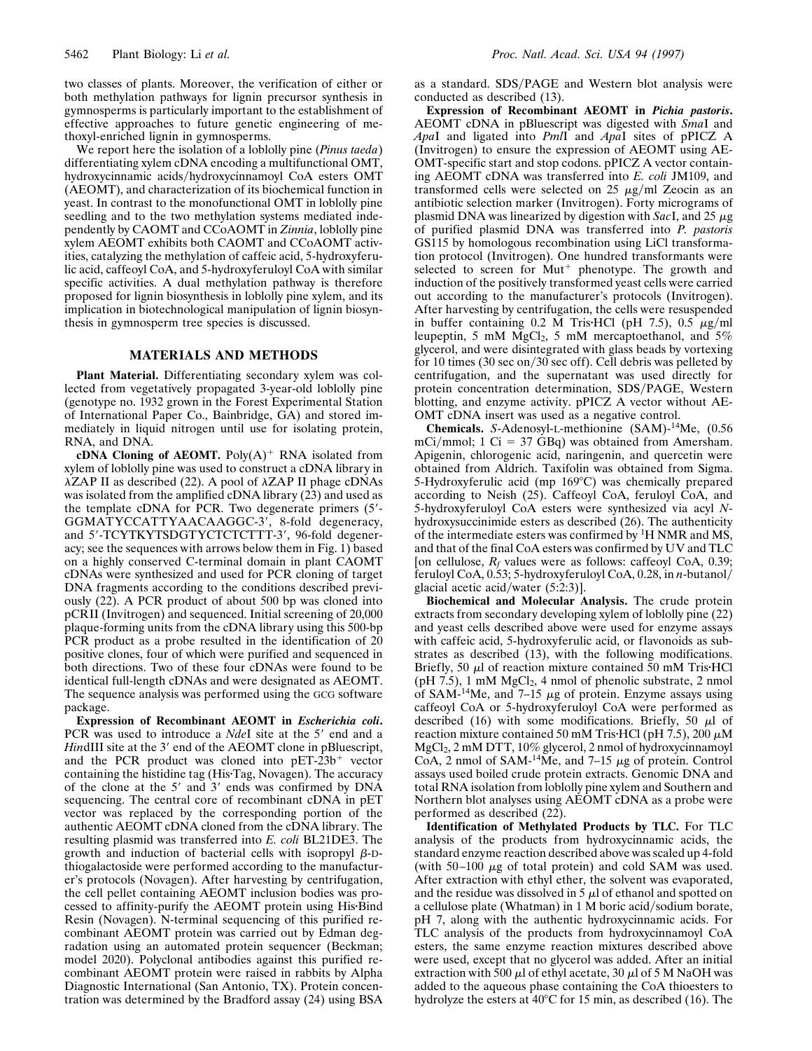two classes of plants. Moreover, the verification of either or both methylation pathways for lignin precursor synthesis in gymnosperms is particularly important to the establishment of effective approaches to future genetic engineering of methoxyl-enriched lignin in gymnosperms.

We report here the isolation of a loblolly pine (*Pinus taeda*) differentiating xylem cDNA encoding a multifunctional OMT, hydroxycinnamic acids/hydroxycinnamoyl CoA esters OMT (AEOMT), and characterization of its biochemical function in yeast. In contrast to the monofunctional OMT in loblolly pine seedling and to the two methylation systems mediated independently by CAOMT and CCoAOMT in *Zinnia*, loblolly pine xylem AEOMT exhibits both CAOMT and CCoAOMT activities, catalyzing the methylation of caffeic acid, 5-hydroxyferulic acid, caffeoyl CoA, and 5-hydroxyferuloyl CoA with similar specific activities. A dual methylation pathway is therefore proposed for lignin biosynthesis in loblolly pine xylem, and its implication in biotechnological manipulation of lignin biosynthesis in gymnosperm tree species is discussed.

## **MATERIALS AND METHODS**

**Plant Material.** Differentiating secondary xylem was collected from vegetatively propagated 3-year-old loblolly pine (genotype no. 1932 grown in the Forest Experimental Station of International Paper Co., Bainbridge, GA) and stored immediately in liquid nitrogen until use for isolating protein, RNA, and DNA.

**cDNA Cloning of AEOMT.** Poly $(A)^+$  RNA isolated from xylem of loblolly pine was used to construct a cDNA library in  $\lambda$ ZAP II as described (22). A pool of  $\lambda$ ZAP II phage cDNAs was isolated from the amplified cDNA library (23) and used as the template cDNA for PCR. Two degenerate primers  $(5'-$ GGMATYCCATTYAACAAGGC-3', 8-fold degeneracy, and 5'-TCYTKYTSDGTYCTCTCTTT-3', 96-fold degeneracy; see the sequences with arrows below them in Fig. 1) based on a highly conserved C-terminal domain in plant CAOMT cDNAs were synthesized and used for PCR cloning of target DNA fragments according to the conditions described previously (22). A PCR product of about 500 bp was cloned into pCRII (Invitrogen) and sequenced. Initial screening of 20,000 plaque-forming units from the cDNA library using this 500-bp PCR product as a probe resulted in the identification of 20 positive clones, four of which were purified and sequenced in both directions. Two of these four cDNAs were found to be identical full-length cDNAs and were designated as AEOMT. The sequence analysis was performed using the GCG software package.

**Expression of Recombinant AEOMT in** *Escherichia coli***.** PCR was used to introduce a *NdeI* site at the 5' end and a *HindIII* site at the 3' end of the AEOMT clone in pBluescript, and the PCR product was cloned into  $pET-23b^+$  vector containing the histidine tag (His-Tag, Novagen). The accuracy of the clone at the  $5'$  and  $3'$  ends was confirmed by DNA sequencing. The central core of recombinant cDNA in pET vector was replaced by the corresponding portion of the authentic AEOMT cDNA cloned from the cDNA library. The resulting plasmid was transferred into *E. coli* BL21DE3. The growth and induction of bacterial cells with isopropyl  $\beta$ -Dthiogalactoside were performed according to the manufacturer's protocols (Novagen). After harvesting by centrifugation, the cell pellet containing AEOMT inclusion bodies was processed to affinity-purify the AEOMT protein using His-Bind Resin (Novagen). N-terminal sequencing of this purified recombinant AEOMT protein was carried out by Edman degradation using an automated protein sequencer (Beckman; model 2020). Polyclonal antibodies against this purified recombinant AEOMT protein were raised in rabbits by Alpha Diagnostic International (San Antonio, TX). Protein concentration was determined by the Bradford assay (24) using BSA as a standard. SDS/PAGE and Western blot analysis were conducted as described (13).

**Expression of Recombinant AEOMT in** *Pichia pastoris***.** AEOMT cDNA in pBluescript was digested with *Sma*I and *Apa*I and ligated into *Pml*I and *Apa*I sites of pPICZ A (Invitrogen) to ensure the expression of AEOMT using AE-OMT-specific start and stop codons. pPICZ A vector containing AEOMT cDNA was transferred into *E. coli* JM109, and transformed cells were selected on 25  $\mu$ g/ml Zeocin as an antibiotic selection marker (Invitrogen). Forty micrograms of plasmid DNA was linearized by digestion with *SacI*, and 25  $\mu$ g of purified plasmid DNA was transferred into *P. pastoris* GS115 by homologous recombination using LiCl transformation protocol (Invitrogen). One hundred transformants were selected to screen for  $Mut^+$  phenotype. The growth and induction of the positively transformed yeast cells were carried out according to the manufacturer's protocols (Invitrogen). After harvesting by centrifugation, the cells were resuspended in buffer containing 0.2 M Tris HCl (pH 7.5), 0.5  $\mu$ g/ml leupeptin, 5 mM  $MgCl<sub>2</sub>$ , 5 mM mercaptoethanol, and 5% glycerol, and were disintegrated with glass beads by vortexing for 10 times (30 sec on/30 sec off). Cell debris was pelleted by centrifugation, and the supernatant was used directly for protein concentration determination, SDS/PAGE, Western blotting, and enzyme activity. pPICZ A vector without AE-OMT cDNA insert was used as a negative control.

**Chemicals.** *S*-Adenosyl-L-methionine (SAM)-14Me, (0.56 mCi/mmol; 1 Ci = 37 GBq) was obtained from Amersham. Apigenin, chlorogenic acid, naringenin, and quercetin were obtained from Aldrich. Taxifolin was obtained from Sigma. 5-Hydroxyferulic acid (mp 169°C) was chemically prepared according to Neish (25). Caffeoyl CoA, feruloyl CoA, and 5-hydroxyferuloyl CoA esters were synthesized via acyl *N*hydroxysuccinimide esters as described (26). The authenticity of the intermediate esters was confirmed by  ${}^{1}$ H NMR and MS, and that of the final CoA esters was confirmed by UV and TLC [on cellulose,  $R_f$  values were as follows: caffeoyl CoA, 0.39; feruloyl CoA, 0.53; 5-hydroxyferuloyl CoA, 0.28, in *n*-butanoly glacial acetic acid/water  $(5:2:3)$ ].

**Biochemical and Molecular Analysis.** The crude protein extracts from secondary developing xylem of loblolly pine (22) and yeast cells described above were used for enzyme assays with caffeic acid, 5-hydroxyferulic acid, or flavonoids as substrates as described (13), with the following modifications. Briefly, 50  $\mu$ l of reaction mixture contained 50 mM Tris $\cdot$ HCl (pH 7.5), 1 mM  $MgCl<sub>2</sub>$ , 4 nmol of phenolic substrate, 2 nmol of SAM-<sup>14</sup>Me, and 7–15  $\mu$ g of protein. Enzyme assays using caffeoyl CoA or 5-hydroxyferuloyl CoA were performed as described (16) with some modifications. Briefly, 50  $\mu$ l of reaction mixture contained 50 mM Tris HCl (pH 7.5), 200  $\mu$ M MgCl2, 2 mM DTT, 10% glycerol, 2 nmol of hydroxycinnamoyl CoA, 2 nmol of SAM- $14\text{Me}$ , and 7-15  $\mu$ g of protein. Control assays used boiled crude protein extracts. Genomic DNA and total RNA isolation from loblolly pine xylem and Southern and Northern blot analyses using AEOMT cDNA as a probe were performed as described (22).

**Identification of Methylated Products by TLC.** For TLC analysis of the products from hydroxycinnamic acids, the standard enzyme reaction described above was scaled up 4-fold (with  $50-100 \mu g$  of total protein) and cold SAM was used. After extraction with ethyl ether, the solvent was evaporated, and the residue was dissolved in  $5 \mu$  of ethanol and spotted on a cellulose plate (Whatman) in 1 M boric acid/sodium borate, pH 7, along with the authentic hydroxycinnamic acids. For TLC analysis of the products from hydroxycinnamoyl CoA esters, the same enzyme reaction mixtures described above were used, except that no glycerol was added. After an initial extraction with 500  $\mu$ l of ethyl acetate, 30  $\mu$ l of 5 M NaOH was added to the aqueous phase containing the CoA thioesters to hydrolyze the esters at  $40^{\circ}$ C for 15 min, as described (16). The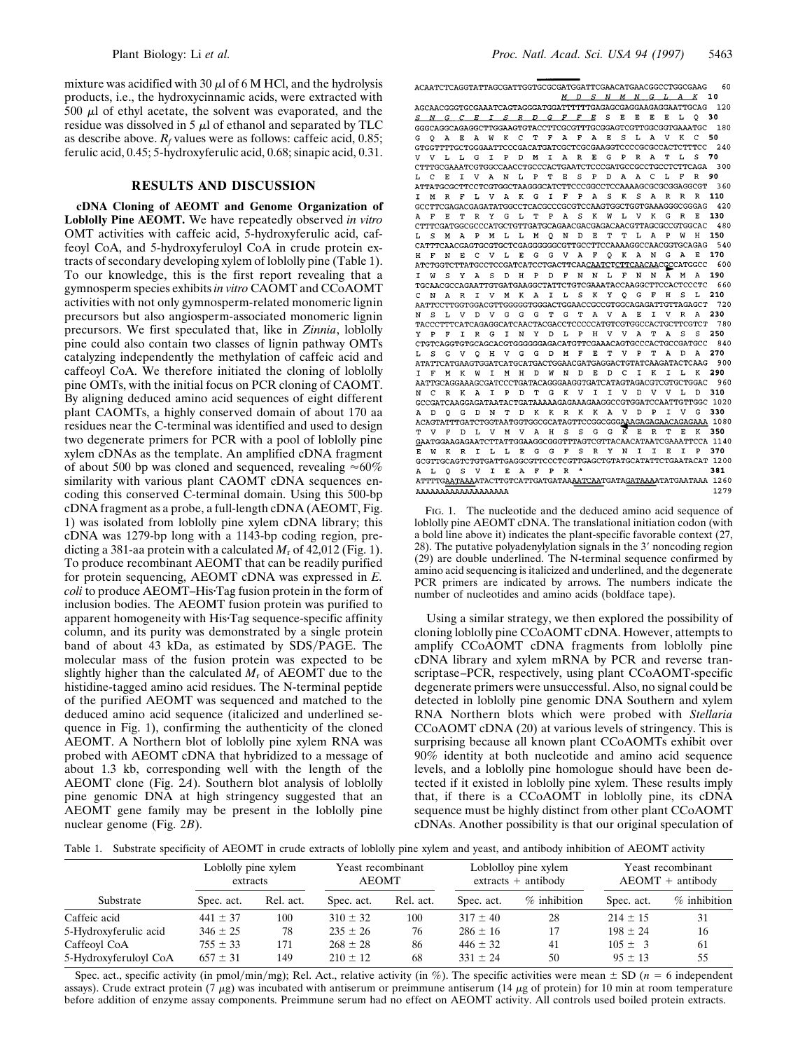mixture was acidified with 30  $\mu$ l of 6 M HCl, and the hydrolysis products, i.e., the hydroxycinnamic acids, were extracted with  $500 \mu l$  of ethyl acetate, the solvent was evaporated, and the residue was dissolved in 5  $\mu$ l of ethanol and separated by TLC as describe above.  $R_f$  values were as follows: caffeic acid, 0.85; ferulic acid, 0.45; 5-hydroxyferulic acid, 0.68; sinapic acid, 0.31.

## **RESULTS AND DISCUSSION**

**cDNA Cloning of AEOMT and Genome Organization of Loblolly Pine AEOMT.** We have repeatedly observed *in vitro* OMT activities with caffeic acid, 5-hydroxyferulic acid, caffeoyl CoA, and 5-hydroxyferuloyl CoA in crude protein extracts of secondary developing xylem of loblolly pine (Table 1). To our knowledge, this is the first report revealing that a gymnosperm species exhibits *in vitro* CAOMT and CCoAOMT activities with not only gymnosperm-related monomeric lignin precursors but also angiosperm-associated monomeric lignin precursors. We first speculated that, like in *Zinnia*, loblolly pine could also contain two classes of lignin pathway OMTs catalyzing independently the methylation of caffeic acid and caffeoyl CoA. We therefore initiated the cloning of loblolly pine OMTs, with the initial focus on PCR cloning of CAOMT. By aligning deduced amino acid sequences of eight different plant CAOMTs, a highly conserved domain of about 170 aa residues near the C-terminal was identified and used to design two degenerate primers for PCR with a pool of loblolly pine xylem cDNAs as the template. An amplified cDNA fragment of about 500 bp was cloned and sequenced, revealing  $\approx 60\%$ similarity with various plant CAOMT cDNA sequences encoding this conserved C-terminal domain. Using this 500-bp cDNA fragment as a probe, a full-length cDNA (AEOMT, Fig. 1) was isolated from loblolly pine xylem cDNA library; this cDNA was 1279-bp long with a 1143-bp coding region, predicting a 381-aa protein with a calculated  $M_r$  of 42,012 (Fig. 1). To produce recombinant AEOMT that can be readily purified for protein sequencing, AEOMT cDNA was expressed in *E. coli* to produce AEOMT–His·Tag fusion protein in the form of inclusion bodies. The AEOMT fusion protein was purified to apparent homogeneity with His Tag sequence-specific affinity column, and its purity was demonstrated by a single protein band of about 43 kDa, as estimated by SDS/PAGE. The molecular mass of the fusion protein was expected to be slightly higher than the calculated  $M_r$  of AEOMT due to the histidine-tagged amino acid residues. The N-terminal peptide of the purified AEOMT was sequenced and matched to the deduced amino acid sequence (italicized and underlined sequence in Fig. 1), confirming the authenticity of the cloned AEOMT. A Northern blot of loblolly pine xylem RNA was probed with AEOMT cDNA that hybridized to a message of about 1.3 kb, corresponding well with the length of the AEOMT clone (Fig. 2*A*). Southern blot analysis of loblolly pine genomic DNA at high stringency suggested that an AEOMT gene family may be present in the loblolly pine nuclear genome (Fig. 2*B*).

 ${\bf A} {\bf C} {\bf A} {\bf A} {\bf T} {\bf C} {\bf T} {\bf C} {\bf G} {\bf G} {\bf T} {\bf T} {\bf T} {\bf A} {\bf G} {\bf C} {\bf G} {\bf A} {\bf T} {\bf T} {\bf G} {\bf G} {\bf G} {\bf C} {\bf G} {\bf A} {\bf T} {\bf T} {\bf C} {\bf G} {\bf A} {\bf A} {\bf C} {\bf A} {\bf T} {\bf G} {\bf G} {\bf C} {\bf C} {\bf T} {\bf G} {\bf C} {\bf G} {\bf A} {\bf A} {\bf G}$ 60 M D S N M N G L A K 10  ${\bf AGCAACGGGTGCGAAATCAGTAGGGATGGATTTTTTGGAGGGAGGGAAGAGGAATTGCAG 120}$ 

S N G C E I S R D G F F E S E E E E L Q 30 GGGCAGGCAGAGGCTTGGAAGTGTACCTTCGCGTTTGCGGAGTCGTTGGCGGTGAAATGC 180 G O A E A W K C T F A F A E S L A V K C  ${\tt GTGGTTTTGCTGGGAATTCCCGACATGATCGCTCGCGAAGGTCCCCGCGCCACTCTTTCC}$ 240 VLLGIPDMIAREGPRATLS 70  ${\tt CTTTGCGAAATCGTGGCCAACCTGCCCACTGAATCTCCCGATGCCGCCTGCCTTTCAGA} \quad \, {\tt 300}$ L C E I V A N L P T E S P D A A C R 90  ${\bf ATTATGCGCTTCCTCGTGGCTAAGGGCATCTTCCCGGCCTCCAAAAGCGCGCGGAGGGCT}$ 360 I M R F L V A K G I F P A S K S A R R R 110  ${\tt \texttt{GCTTCGAGACGAGATATGGCCTCACGCCGCGTCCAAGTGCTGGTGAAAGGGCGGGAG} \quad \textbf{420}}$ A F E T R Y G L T P A S K W L V K G R E 130 CTTTCGATGGCGCCCATGCTGTTGATGCAGAACGACGAGACAACGTTAGCGCCGTGGCAC 480 MAPMLLMQNDETTLAPWH 150  $L_S$ H F N E C V L E G G V A F Q K A N G A E 170  ${\bf ATCTGGTCTTATGCCTCCGATCATCCTGACTTCAA\underline{CAATC}T\underline{CTTCAACAA}C\underline{G}CCATGGCC-600}$ T W S Y A S D H P D F N N I, F N N A M A 190  ${\tt TGCAACGCCAGAATTGTGATGAAGGCTATTCTGTCGAAATACCAAGGCTTCCACTCCCTC} \qquad 660$ C N A R I V M K A I L S K Y Q G F H S L 210  ${\bf AATT CCTTGGTGGACGTTGGGGTGGGACTGGAACCGCCGTGGCAGAGATTGTTRGAGCT}$ L V D V G G G T G T A V A E I V R A 230  $N$ TACCCTTTCATCAGAGGCATCAACTACGACCTCCCCCATGTCGTGGCCACTGCTTCGTCT 780 FIRGINYDLPHVVATASS 250  $V$   $P$  ${\tt CTGT CAGGTGTG CAG CAGTGGGGGGAGACATGTTCGAAACAGTGCC CACTGCCGATGCC}$ G V Q H V G G D M F E T V P T A D A 270 ATATTCATGAAGTGGATCATGCATGACTGGAACGATGAGGACTGTATCAAGATACTCAAG 900 MKWIMHDWNDEDCIKILK 290  $T$  F  ${\tt AATTGCAGGAAAGCGATCCCTGATACAGGGAAGGTGATCATAGTAGCCGTCGTCGTGGAC}$ 960 RKAIPDTGKVIIVDVVLD 310  ${\tt GCCGATCAAGGAGATAATACTGATAAAAAGAGAAAGAGCCGTGGATCCAATTGTTGGC\_1020}$ A D Q G D N T D K K R K K A V D P I V G 330  $\underline{\texttt{GAATGGAAGAGAATCTTATTGGAAGGGCGGTTTAGTCGTTACAACATAATCGAAATTCCA}$  1140 WKRILLEGGFSRYNIIEIP 370  $\mathbf E$  ${\tt CGGTTGCAGTCTGTGATTGAGGGCTTCCCTCGTTGAGCTGTATGCATATTCTGAATACAT\ 1200}$ Q S V I E A F P R 381 AAAAAAAAAAAAAAAAAAA

FIG. 1. The nucleotide and the deduced amino acid sequence of loblolly pine AEOMT cDNA. The translational initiation codon (with a bold line above it) indicates the plant-specific favorable context (27,  $28$ ). The putative polyadenylylation signals in the  $3'$  noncoding region (29) are double underlined. The N-terminal sequence confirmed by amino acid sequencing is italicized and underlined, and the degenerate PCR primers are indicated by arrows. The numbers indicate the number of nucleotides and amino acids (boldface tape).

Using a similar strategy, we then explored the possibility of cloning loblolly pine CCoAOMT cDNA. However, attempts to amplify CCoAOMT cDNA fragments from loblolly pine cDNA library and xylem mRNA by PCR and reverse transcriptase–PCR, respectively, using plant CCoAOMT-specific degenerate primers were unsuccessful. Also, no signal could be detected in loblolly pine genomic DNA Southern and xylem RNA Northern blots which were probed with *Stellaria* CCoAOMT cDNA (20) at various levels of stringency. This is surprising because all known plant CCoAOMTs exhibit over 90% identity at both nucleotide and amino acid sequence levels, and a loblolly pine homologue should have been detected if it existed in loblolly pine xylem. These results imply that, if there is a CCoAOMT in loblolly pine, its cDNA sequence must be highly distinct from other plant CCoAOMT cDNAs. Another possibility is that our original speculation of

Table 1. Substrate specificity of AEOMT in crude extracts of loblolly pine xylem and yeast, and antibody inhibition of AEOMT activity

|                       | Loblolly pine xylem<br>extracts |           | Yeast recombinant<br><b>AEOMT</b> |           | Loblolloy pine xylem<br>$extracts + antibody$ |                | Yeast recombinant<br>$A EOMT + antibody$ |                |
|-----------------------|---------------------------------|-----------|-----------------------------------|-----------|-----------------------------------------------|----------------|------------------------------------------|----------------|
| Substrate             | Spec. act.                      | Rel. act. | Spec. act.                        | Rel. act. | Spec. act.                                    | $%$ inhibition | Spec. act.                               | $%$ inhibition |
| Caffeic acid          | $441 \pm 37$                    | 100       | $310 \pm 32$                      | 100       | $317 \pm 40$                                  | 28             | $214 \pm 15$                             | 31             |
| 5-Hydroxyferulic acid | $346 \pm 25$                    | 78        | $235 \pm 26$                      | 76        | $286 \pm 16$                                  |                | $198 \pm 24$                             | 16             |
| Caffeoyl CoA          | $755 \pm 33$                    | 171       | $268 \pm 28$                      | 86        | $446 \pm 32$                                  | 41             | $105 \pm 3$                              | 61             |
| 5-Hydroxyferuloyl CoA | $657 \pm 31$                    | 149       | $210 \pm 12$                      | 68        | $331 \pm 24$                                  | 50             | $95 + 13$                                | 55             |

Spec. act., specific activity (in pmol/min/mg); Rel. Act., relative activity (in %). The specific activities were mean  $\pm$  SD (*n* = 6 independent assays). Crude extract protein (7  $\mu$ g) was incubated with antiserum or preimmune antiserum (14  $\mu$ g of protein) for 10 min at room temperature before addition of enzyme assay components. Preimmune serum had no effect on AEOMT activity. All controls used boiled protein extracts.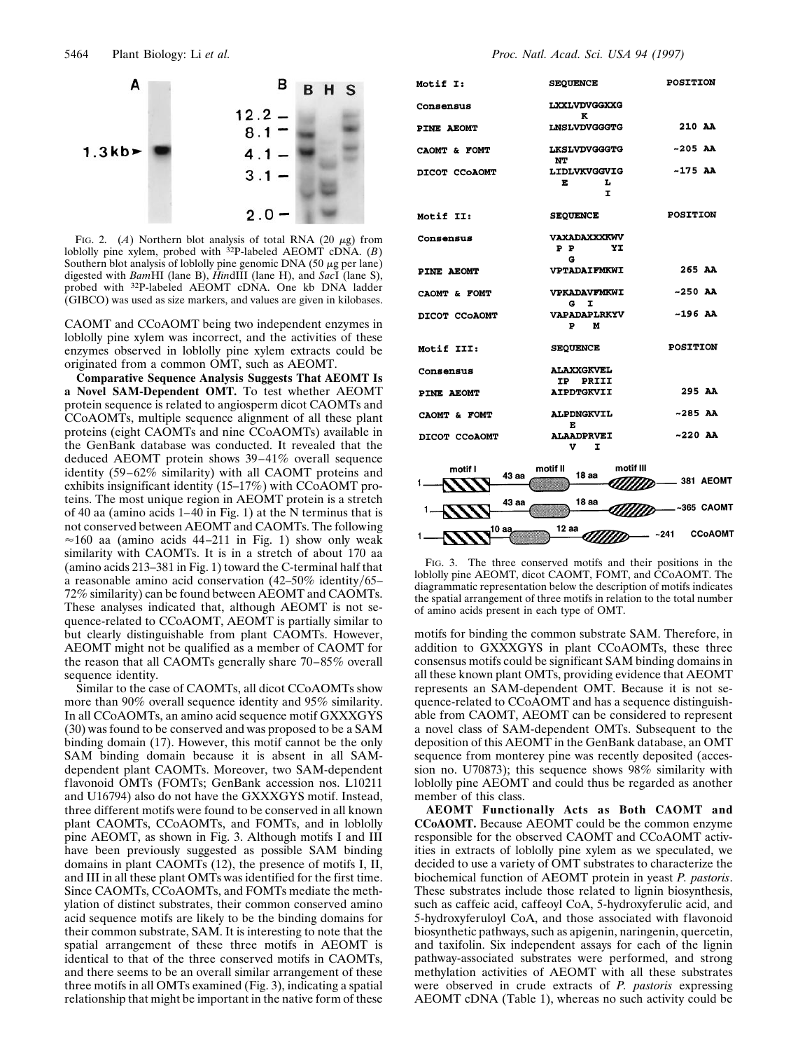

FIG. 2.  $(A)$  Northern blot analysis of total RNA (20  $\mu$ g) from loblolly pine xylem, probed with 32P-labeled AEOMT cDNA. (*B*) Southern blot analysis of loblolly pine genomic DNA  $(50 \mu g$  per lane) digested with *Bam*HI (lane B), *Hin*dIII (lane H), and *Sac*I (lane S), probed with 32P-labeled AEOMT cDNA. One kb DNA ladder (GIBCO) was used as size markers, and values are given in kilobases.

CAOMT and CCoAOMT being two independent enzymes in loblolly pine xylem was incorrect, and the activities of these enzymes observed in loblolly pine xylem extracts could be originated from a common OMT, such as AEOMT.

**Comparative Sequence Analysis Suggests That AEOMT Is a Novel SAM-Dependent OMT.** To test whether AEOMT protein sequence is related to angiosperm dicot CAOMTs and CCoAOMTs, multiple sequence alignment of all these plant proteins (eight CAOMTs and nine CCoAOMTs) available in the GenBank database was conducted. It revealed that the deduced AEOMT protein shows 39–41% overall sequence identity (59–62% similarity) with all CAOMT proteins and exhibits insignificant identity (15–17%) with CCoAOMT proteins. The most unique region in AEOMT protein is a stretch of 40 aa (amino acids 1–40 in Fig. 1) at the N terminus that is not conserved between AEOMT and CAOMTs. The following  $\approx$ 160 aa (amino acids 44–211 in Fig. 1) show only weak similarity with CAOMTs. It is in a stretch of about 170 aa (amino acids 213–381 in Fig. 1) toward the C-terminal half that a reasonable amino acid conservation  $(42-50\% \text{ identity}/65-$ 72% similarity) can be found between AEOMT and CAOMTs. These analyses indicated that, although AEOMT is not sequence-related to CCoAOMT, AEOMT is partially similar to but clearly distinguishable from plant CAOMTs. However, AEOMT might not be qualified as a member of CAOMT for the reason that all CAOMTs generally share 70–85% overall sequence identity.

Similar to the case of CAOMTs, all dicot CCoAOMTs show more than 90% overall sequence identity and 95% similarity. In all CCoAOMTs, an amino acid sequence motif GXXXGYS (30) was found to be conserved and was proposed to be a SAM binding domain (17). However, this motif cannot be the only SAM binding domain because it is absent in all SAMdependent plant CAOMTs. Moreover, two SAM-dependent flavonoid OMTs (FOMTs; GenBank accession nos. L10211 and U16794) also do not have the GXXXGYS motif. Instead, three different motifs were found to be conserved in all known plant CAOMTs, CCoAOMTs, and FOMTs, and in loblolly pine AEOMT, as shown in Fig. 3. Although motifs I and III have been previously suggested as possible SAM binding domains in plant CAOMTs (12), the presence of motifs I, II, and III in all these plant OMTs was identified for the first time. Since CAOMTs, CCoAOMTs, and FOMTs mediate the methylation of distinct substrates, their common conserved amino acid sequence motifs are likely to be the binding domains for their common substrate, SAM. It is interesting to note that the spatial arrangement of these three motifs in AEOMT is identical to that of the three conserved motifs in CAOMTs, and there seems to be an overall similar arrangement of these three motifs in all OMTs examined (Fig. 3), indicating a spatial relationship that might be important in the native form of these

| <b>Motif I:</b>  | <b>SEQUENCE</b>                              | <b>POSITION</b>        |
|------------------|----------------------------------------------|------------------------|
| Consensus        | LXXLVDVGGXXG                                 |                        |
| PINE AEOMT       | ĸ<br><b>LNSLVDVGGGTG</b>                     | 210 AA                 |
| CAOMT & FOMT     | LKSLVDVGGGTG                                 | ~205 AA                |
| DICOT CCOAOMT    | NΤ<br><b>LIDLVKVGGVIG</b><br>Е<br>L<br>I.    | $-175$ AA              |
| <b>Motif II:</b> | <b>SEQUENCE</b>                              | <b>POSITION</b>        |
| Consensus        | <b><i>VAXADAXXXKWV</i></b><br>P P<br>YI<br>G |                        |
| PINE AEOMT       | <b>VPTADAIFMKWI</b>                          | 265 AA                 |
| CAOMT & FOMT     | <b>VPKADAVFMKWI</b><br>I<br>G.               | $-250$ AA              |
| DICOT CCOAOMT    | <b><i>VAPADAPLRKYV</i></b><br>P.<br>м        | $-196$ AA              |
| Motif III:       | <b>SEQUENCE</b>                              | <b>POSITION</b>        |
| Consensus        | <b>ALAXXGKVEL</b><br>PRIII<br>IP.            |                        |
| PINE AEOMT       | <b>AIPDTGKVII</b>                            | 295 AA                 |
| CAOMT & FOMT     | <b>ALPDNGKVIL</b>                            | $-285$ AA              |
| DICOT CCOAOMT    | E<br><b>ALAADPRVEI</b><br>v<br>I             | $-220$ AA              |
| motif I<br>43 аа | motif III<br>motif II<br>18 aa               | .381 AEOMT<br>22       |
| 43 аа<br>1.      | 18 аа                                        | ~365 CAOMT             |
| 10 aa<br>1.      | 12 aa                                        | <b>CCoAOMT</b><br>~241 |

FIG. 3. The three conserved motifs and their positions in the loblolly pine AEOMT, dicot CAOMT, FOMT, and CCoAOMT. The diagrammatic representation below the description of motifs indicates the spatial arrangement of three motifs in relation to the total number of amino acids present in each type of OMT.

motifs for binding the common substrate SAM. Therefore, in addition to GXXXGYS in plant CCoAOMTs, these three consensus motifs could be significant SAM binding domains in all these known plant OMTs, providing evidence that AEOMT represents an SAM-dependent OMT. Because it is not sequence-related to CCoAOMT and has a sequence distinguishable from CAOMT, AEOMT can be considered to represent a novel class of SAM-dependent OMTs. Subsequent to the deposition of this AEOMT in the GenBank database, an OMT sequence from monterey pine was recently deposited (accession no. U70873); this sequence shows 98% similarity with loblolly pine AEOMT and could thus be regarded as another member of this class.

**AEOMT Functionally Acts as Both CAOMT and CCoAOMT.** Because AEOMT could be the common enzyme responsible for the observed CAOMT and CCoAOMT activities in extracts of loblolly pine xylem as we speculated, we decided to use a variety of OMT substrates to characterize the biochemical function of AEOMT protein in yeast *P. pastoris*. These substrates include those related to lignin biosynthesis, such as caffeic acid, caffeoyl CoA, 5-hydroxyferulic acid, and 5-hydroxyferuloyl CoA, and those associated with flavonoid biosynthetic pathways, such as apigenin, naringenin, quercetin, and taxifolin. Six independent assays for each of the lignin pathway-associated substrates were performed, and strong methylation activities of AEOMT with all these substrates were observed in crude extracts of *P. pastoris* expressing AEOMT cDNA (Table 1), whereas no such activity could be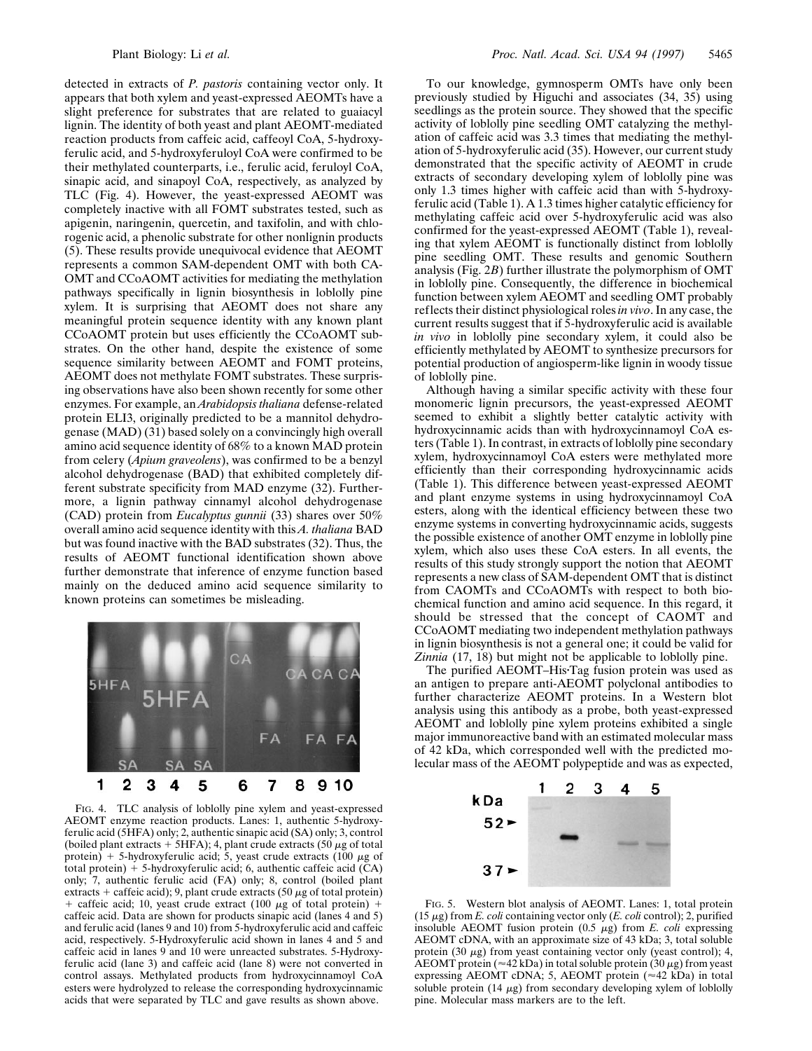detected in extracts of *P. pastoris* containing vector only. It appears that both xylem and yeast-expressed AEOMTs have a slight preference for substrates that are related to guaiacyl lignin. The identity of both yeast and plant AEOMT-mediated reaction products from caffeic acid, caffeoyl CoA, 5-hydroxyferulic acid, and 5-hydroxyferuloyl CoA were confirmed to be their methylated counterparts, i.e., ferulic acid, feruloyl CoA, sinapic acid, and sinapoyl CoA, respectively, as analyzed by TLC (Fig. 4). However, the yeast-expressed AEOMT was completely inactive with all FOMT substrates tested, such as apigenin, naringenin, quercetin, and taxifolin, and with chlorogenic acid, a phenolic substrate for other nonlignin products (5). These results provide unequivocal evidence that AEOMT represents a common SAM-dependent OMT with both CA-OMT and CCoAOMT activities for mediating the methylation pathways specifically in lignin biosynthesis in loblolly pine xylem. It is surprising that AEOMT does not share any meaningful protein sequence identity with any known plant CCoAOMT protein but uses efficiently the CCoAOMT substrates. On the other hand, despite the existence of some sequence similarity between AEOMT and FOMT proteins, AEOMT does not methylate FOMT substrates. These surprising observations have also been shown recently for some other enzymes. For example, an *Arabidopsis thaliana* defense-related protein ELI3, originally predicted to be a mannitol dehydrogenase (MAD) (31) based solely on a convincingly high overall amino acid sequence identity of 68% to a known MAD protein from celery (*Apium graveolens*), was confirmed to be a benzyl alcohol dehydrogenase (BAD) that exhibited completely different substrate specificity from MAD enzyme (32). Furthermore, a lignin pathway cinnamyl alcohol dehydrogenase (CAD) protein from *Eucalyptus gunnii* (33) shares over 50% overall amino acid sequence identity with this *A. thaliana* BAD but was found inactive with the BAD substrates (32). Thus, the results of AEOMT functional identification shown above further demonstrate that inference of enzyme function based mainly on the deduced amino acid sequence similarity to known proteins can sometimes be misleading.



FIG. 4. TLC analysis of loblolly pine xylem and yeast-expressed AEOMT enzyme reaction products. Lanes: 1, authentic 5-hydroxyferulic acid (5HFA) only; 2, authentic sinapic acid (SA) only; 3, control (boiled plant extracts + 5HFA); 4, plant crude extracts (50  $\mu$ g of total protein) + 5-hydroxyferulic acid; 5, yeast crude extracts (100  $\mu$ g of total protein)  $+$  5-hydroxyferulic acid; 6, authentic caffeic acid (CA) only; 7, authentic ferulic acid (FA) only; 8, control (boiled plant extracts + caffeic acid); 9, plant crude extracts (50  $\mu$ g of total protein) + caffeic acid; 10, yeast crude extract (100  $\mu$ g of total protein) + caffeic acid. Data are shown for products sinapic acid (lanes 4 and 5) and ferulic acid (lanes 9 and 10) from 5-hydroxyferulic acid and caffeic acid, respectively. 5-Hydroxyferulic acid shown in lanes 4 and 5 and caffeic acid in lanes 9 and 10 were unreacted substrates. 5-Hydroxyferulic acid (lane 3) and caffeic acid (lane 8) were not converted in control assays. Methylated products from hydroxycinnamoyl CoA esters were hydrolyzed to release the corresponding hydroxycinnamic acids that were separated by TLC and gave results as shown above.

To our knowledge, gymnosperm OMTs have only been previously studied by Higuchi and associates (34, 35) using seedlings as the protein source. They showed that the specific activity of loblolly pine seedling OMT catalyzing the methylation of caffeic acid was 3.3 times that mediating the methylation of 5-hydroxyferulic acid (35). However, our current study demonstrated that the specific activity of AEOMT in crude extracts of secondary developing xylem of loblolly pine was only 1.3 times higher with caffeic acid than with 5-hydroxyferulic acid (Table 1). A 1.3 times higher catalytic efficiency for methylating caffeic acid over 5-hydroxyferulic acid was also confirmed for the yeast-expressed AEOMT (Table 1), revealing that xylem AEOMT is functionally distinct from loblolly pine seedling OMT. These results and genomic Southern analysis (Fig. 2*B*) further illustrate the polymorphism of OMT in loblolly pine. Consequently, the difference in biochemical function between xylem AEOMT and seedling OMT probably reflects their distinct physiological roles *in vivo*. In any case, the current results suggest that if 5-hydroxyferulic acid is available *in vivo* in loblolly pine secondary xylem, it could also be efficiently methylated by AEOMT to synthesize precursors for potential production of angiosperm-like lignin in woody tissue of loblolly pine.

Although having a similar specific activity with these four monomeric lignin precursors, the yeast-expressed AEOMT seemed to exhibit a slightly better catalytic activity with hydroxycinnamic acids than with hydroxycinnamoyl CoA esters (Table 1). In contrast, in extracts of loblolly pine secondary xylem, hydroxycinnamoyl CoA esters were methylated more efficiently than their corresponding hydroxycinnamic acids (Table 1). This difference between yeast-expressed AEOMT and plant enzyme systems in using hydroxycinnamoyl CoA esters, along with the identical efficiency between these two enzyme systems in converting hydroxycinnamic acids, suggests the possible existence of another OMT enzyme in loblolly pine xylem, which also uses these CoA esters. In all events, the results of this study strongly support the notion that AEOMT represents a new class of SAM-dependent OMT that is distinct from CAOMTs and CCoAOMTs with respect to both biochemical function and amino acid sequence. In this regard, it should be stressed that the concept of CAOMT and CCoAOMT mediating two independent methylation pathways in lignin biosynthesis is not a general one; it could be valid for *Zinnia* (17, 18) but might not be applicable to loblolly pine.

The purified AEOMT-His Tag fusion protein was used as an antigen to prepare anti-AEOMT polyclonal antibodies to further characterize AEOMT proteins. In a Western blot analysis using this antibody as a probe, both yeast-expressed AEOMT and loblolly pine xylem proteins exhibited a single major immunoreactive band with an estimated molecular mass of 42 kDa, which corresponded well with the predicted molecular mass of the AEOMT polypeptide and was as expected,



FIG. 5. Western blot analysis of AEOMT. Lanes: 1, total protein (15  $\mu$ g) from *E. coli* containing vector only (*E. coli* control); 2, purified insoluble AEOMT fusion protein  $(0.5 \mu g)$  from *E. coli* expressing AEOMT cDNA, with an approximate size of 43 kDa; 3, total soluble protein  $(30 \mu g)$  from yeast containing vector only (yeast control); 4, AEOMT protein ( $\approx$ 42 kDa) in total soluble protein (30  $\mu$ g) from yeast expressing AEOMT cDNA; 5, AEOMT protein  $(*42 kDa)$  in total soluble protein  $(14 \mu g)$  from secondary developing xylem of loblolly pine. Molecular mass markers are to the left.